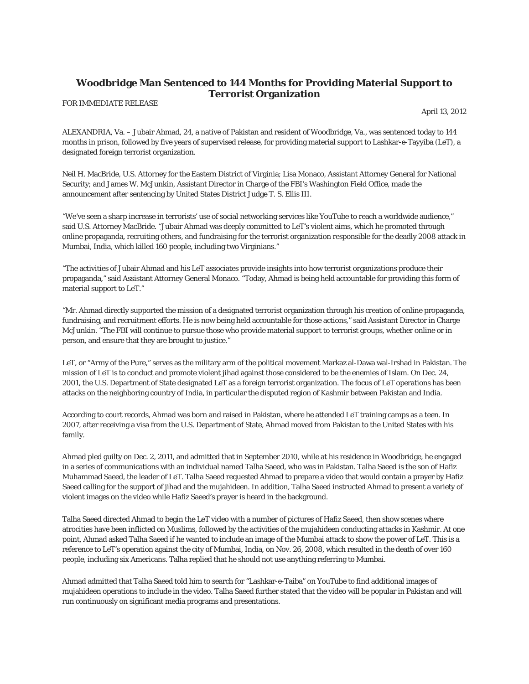## **Woodbridge Man Sentenced to 144 Months for Providing Material Support to Terrorist Organization**

FOR IMMEDIATE RELEASE

April 13, 2012

ALEXANDRIA, Va. – Jubair Ahmad, 24, a native of Pakistan and resident of Woodbridge, Va., was sentenced today to 144 months in prison, followed by five years of supervised release, for providing material support to Lashkar-e-Tayyiba (LeT), a designated foreign terrorist organization.

Neil H. MacBride, U.S. Attorney for the Eastern District of Virginia; Lisa Monaco, Assistant Attorney General for National Security; and James W. McJunkin, Assistant Director in Charge of the FBI's Washington Field Office, made the announcement after sentencing by United States District Judge T. S. Ellis III.

"We've seen a sharp increase in terrorists' use of social networking services like YouTube to reach a worldwide audience," said U.S. Attorney MacBride. "Jubair Ahmad was deeply committed to LeT's violent aims, which he promoted through online propaganda, recruiting others, and fundraising for the terrorist organization responsible for the deadly 2008 attack in Mumbai, India, which killed 160 people, including two Virginians."

"The activities of Jubair Ahmad and his LeT associates provide insights into how terrorist organizations produce their propaganda," said Assistant Attorney General Monaco. "Today, Ahmad is being held accountable for providing this form of material support to LeT."

"Mr. Ahmad directly supported the mission of a designated terrorist organization through his creation of online propaganda, fundraising, and recruitment efforts. He is now being held accountable for those actions," said Assistant Director in Charge McJunkin. "The FBI will continue to pursue those who provide material support to terrorist groups, whether online or in person, and ensure that they are brought to justice."

LeT, or "Army of the Pure," serves as the military arm of the political movement Markaz al-Dawa wal-Irshad in Pakistan. The mission of LeT is to conduct and promote violent jihad against those considered to be the enemies of Islam. On Dec. 24, 2001, the U.S. Department of State designated LeT as a foreign terrorist organization. The focus of LeT operations has been attacks on the neighboring country of India, in particular the disputed region of Kashmir between Pakistan and India.

According to court records, Ahmad was born and raised in Pakistan, where he attended LeT training camps as a teen. In 2007, after receiving a visa from the U.S. Department of State, Ahmad moved from Pakistan to the United States with his family.

Ahmad pled guilty on Dec. 2, 2011, and admitted that in September 2010, while at his residence in Woodbridge, he engaged in a series of communications with an individual named Talha Saeed, who was in Pakistan. Talha Saeed is the son of Hafiz Muhammad Saeed, the leader of LeT. Talha Saeed requested Ahmad to prepare a video that would contain a prayer by Hafiz Saeed calling for the support of jihad and the mujahideen. In addition, Talha Saeed instructed Ahmad to present a variety of violent images on the video while Hafiz Saeed's prayer is heard in the background.

Talha Saeed directed Ahmad to begin the LeT video with a number of pictures of Hafiz Saeed, then show scenes where atrocities have been inflicted on Muslims, followed by the activities of the mujahideen conducting attacks in Kashmir. At one point, Ahmad asked Talha Saeed if he wanted to include an image of the Mumbai attack to show the power of LeT. This is a reference to LeT's operation against the city of Mumbai, India, on Nov. 26, 2008, which resulted in the death of over 160 people, including six Americans. Talha replied that he should not use anything referring to Mumbai.

Ahmad admitted that Talha Saeed told him to search for "Lashkar-e-Taiba" on YouTube to find additional images of mujahideen operations to include in the video. Talha Saeed further stated that the video will be popular in Pakistan and will run continuously on significant media programs and presentations.